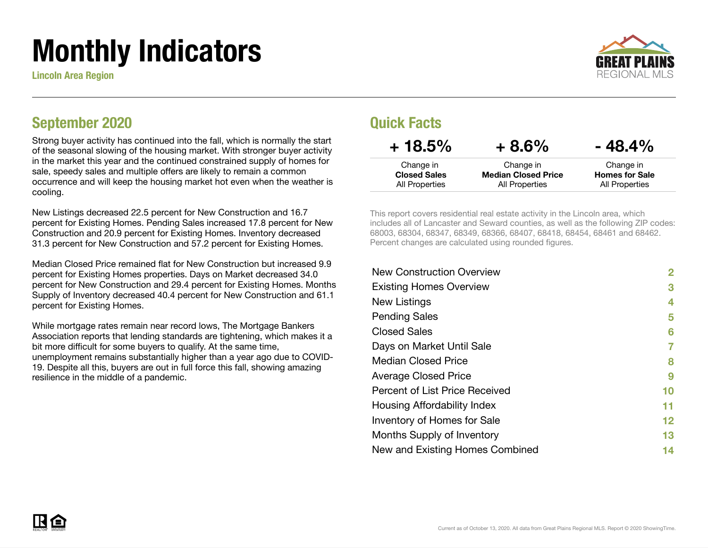# Monthly Indicators

Lincoln Area Region



### September 2020

Strong buyer activity has continued into the fall, which is normally the start of the seasonal slowing of the housing market. With stronger buyer activity in the market this year and the continued constrained supply of homes for sale, speedy sales and multiple offers are likely to remain a common occurrence and will keep the housing market hot even when the weather is cooling.

New Listings decreased 22.5 percent for New Construction and 16.7 percent for Existing Homes. Pending Sales increased 17.8 percent for New Construction and 20.9 percent for Existing Homes. Inventory decreased 31.3 percent for New Construction and 57.2 percent for Existing Homes.

Median Closed Price remained flat for New Construction but increased 9.9 percent for Existing Homes properties. Days on Market decreased 34.0 percent for New Construction and 29.4 percent for Existing Homes. Months Supply of Inventory decreased 40.4 percent for New Construction and 61.1 percent for Existing Homes.

While mortgage rates remain near record lows, The Mortgage Bankers Association reports that lending standards are tightening, which makes it a bit more difficult for some buyers to qualify. At the same time, unemployment remains substantially higher than a year ago due to COVID-19. Despite all this, buyers are out in full force this fall, showing amazing resilience in the middle of a pandemic.

### Quick Facts

| $+18.5%$            | $+8.6%$                    | $-48.4\%$             |
|---------------------|----------------------------|-----------------------|
| Change in           | Change in                  | Change in             |
| <b>Closed Sales</b> | <b>Median Closed Price</b> | <b>Homes for Sale</b> |
| All Properties      | All Properties             | All Properties        |

This report covers residential real estate activity in the Lincoln area, which includes all of Lancaster and Seward counties, as well as the following ZIP codes: 68003, 68304, 68347, 68349, 68366, 68407, 68418, 68454, 68461 and 68462. Percent changes are calculated using rounded figures.

| 2  |
|----|
| 3  |
| 4  |
| 5  |
| 6  |
| 7  |
| 8  |
| 9  |
| 10 |
| 11 |
| 12 |
| 13 |
| 14 |
|    |

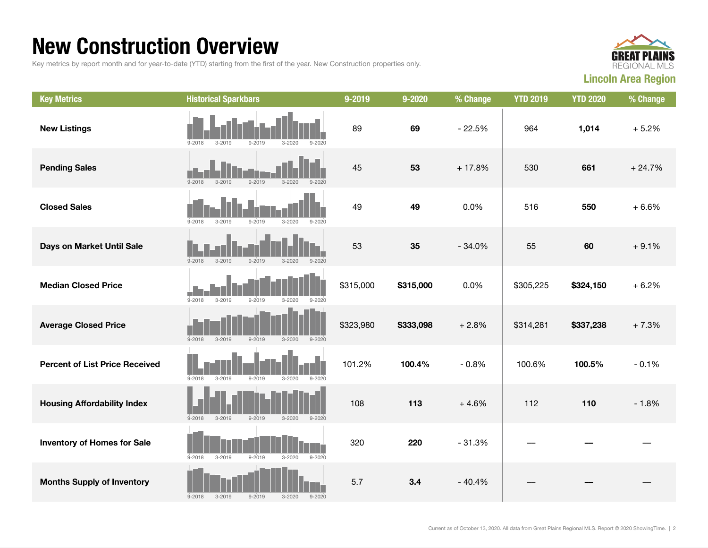### New Construction Overview

Key metrics by report month and for year-to-date (YTD) starting from the first of the year. New Construction properties only.



| <b>Key Metrics</b>                    | <b>Historical Sparkbars</b>                                        | 9-2019    | 9-2020    | % Change | <b>YTD 2019</b> | <b>YTD 2020</b> | % Change |
|---------------------------------------|--------------------------------------------------------------------|-----------|-----------|----------|-----------------|-----------------|----------|
| <b>New Listings</b>                   | $9 - 2018$<br>$9 - 2019$<br>$3 - 2020$<br>$9 - 2020$<br>$3 - 2019$ | 89        | 69        | $-22.5%$ | 964             | 1,014           | $+5.2%$  |
| <b>Pending Sales</b>                  | $9 - 2019$<br>$9 - 2018$<br>$3 - 2019$<br>$3 - 2020$<br>$9 - 2020$ | 45        | 53        | $+17.8%$ | 530             | 661             | $+24.7%$ |
| <b>Closed Sales</b>                   | $9 - 2018$<br>$3 - 2019$<br>$9 - 2019$<br>$3 - 2020$<br>$9 - 2020$ | 49        | 49        | 0.0%     | 516             | 550             | $+6.6%$  |
| Days on Market Until Sale             | $3 - 2019$<br>$9 - 2019$<br>$9 - 2018$<br>$3 - 2020$<br>$9 - 2020$ | 53        | 35        | $-34.0%$ | 55              | 60              | $+9.1%$  |
| <b>Median Closed Price</b>            | $9 - 2018$<br>$3 - 2019$<br>$9 - 2019$<br>$3 - 2020$<br>$9 - 2020$ | \$315,000 | \$315,000 | 0.0%     | \$305,225       | \$324,150       | $+6.2%$  |
| <b>Average Closed Price</b>           | $9 - 2018$<br>$3 - 2019$<br>$9 - 2019$<br>$3 - 2020$<br>$9 - 2020$ | \$323,980 | \$333,098 | $+2.8%$  | \$314,281       | \$337,238       | $+7.3%$  |
| <b>Percent of List Price Received</b> | $9 - 2018$<br>$3 - 2019$<br>$9 - 2019$<br>$3 - 2020$<br>$9 - 2020$ | 101.2%    | 100.4%    | $-0.8%$  | 100.6%          | 100.5%          | $-0.1%$  |
| <b>Housing Affordability Index</b>    | $9 - 2018$<br>$3 - 2019$<br>$9 - 2019$<br>$3 - 2020$<br>$9 - 2020$ | 108       | 113       | $+4.6%$  | 112             | 110             | $-1.8%$  |
| <b>Inventory of Homes for Sale</b>    | $9 - 2018$<br>$3 - 2019$<br>$9 - 2019$<br>$3 - 2020$<br>$9 - 2020$ | 320       | 220       | $-31.3%$ |                 |                 |          |
| <b>Months Supply of Inventory</b>     | $3 - 2020$<br>$9 - 2018$<br>$3 - 2019$<br>$9 - 2019$<br>$9 - 2020$ | 5.7       | 3.4       | $-40.4%$ |                 |                 |          |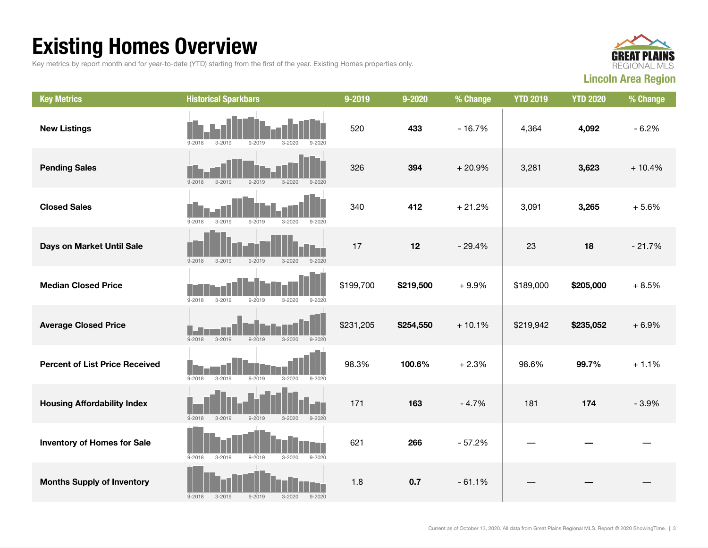## Existing Homes Overview

Key metrics by report month and for year-to-date (YTD) starting from the first of the year. Existing Homes properties only.



| <b>Key Metrics</b>                    | <b>Historical Sparkbars</b>                                        | 9-2019    | 9-2020    | % Change | <b>YTD 2019</b> | <b>YTD 2020</b> | % Change |
|---------------------------------------|--------------------------------------------------------------------|-----------|-----------|----------|-----------------|-----------------|----------|
| <b>New Listings</b>                   | $3 - 2020$<br>$9 - 2018$<br>$3 - 2019$<br>$9 - 2019$<br>$9 - 2020$ | 520       | 433       | $-16.7%$ | 4,364           | 4,092           | $-6.2%$  |
| <b>Pending Sales</b>                  | $9 - 2018$<br>$3 - 2019$<br>$9 - 2019$<br>$3 - 2020$<br>$9 - 2020$ | 326       | 394       | $+20.9%$ | 3,281           | 3,623           | $+10.4%$ |
| <b>Closed Sales</b>                   | $9 - 2019$<br>$3 - 2020$<br>$9 - 2018$<br>$3 - 2019$<br>$9 - 2020$ | 340       | 412       | $+21.2%$ | 3,091           | 3,265           | $+5.6%$  |
| Days on Market Until Sale             | $9 - 2018$<br>$3 - 2019$<br>$9 - 2019$<br>$3 - 2020$<br>$9 - 2020$ | 17        | 12        | $-29.4%$ | 23              | 18              | $-21.7%$ |
| <b>Median Closed Price</b>            | $9 - 2018$<br>$3 - 2020$<br>$3 - 2019$<br>$9 - 2019$<br>$9 - 2020$ | \$199,700 | \$219,500 | $+9.9%$  | \$189,000       | \$205,000       | $+8.5%$  |
| <b>Average Closed Price</b>           | $3 - 2019$<br>$9 - 2019$<br>$3 - 2020$<br>$9 - 2018$<br>$9 - 2020$ | \$231,205 | \$254,550 | $+10.1%$ | \$219,942       | \$235,052       | $+6.9%$  |
| <b>Percent of List Price Received</b> | $9 - 2018$<br>$3 - 2019$<br>$9 - 2019$<br>$3 - 2020$<br>$9 - 2020$ | 98.3%     | 100.6%    | $+2.3%$  | 98.6%           | 99.7%           | $+1.1%$  |
| <b>Housing Affordability Index</b>    | $9 - 2018$<br>$3 - 2019$<br>$9 - 2019$<br>$3 - 2020$<br>$9 - 2020$ | 171       | 163       | $-4.7%$  | 181             | 174             | $-3.9%$  |
| <b>Inventory of Homes for Sale</b>    | $9 - 2018$<br>$3 - 2019$<br>$9 - 2019$<br>$3 - 2020$<br>$9 - 2020$ | 621       | 266       | $-57.2%$ |                 |                 |          |
| <b>Months Supply of Inventory</b>     | $3 - 2019$<br>$9 - 2019$<br>$3 - 2020$<br>$9 - 2020$<br>$9 - 2018$ | 1.8       | 0.7       | $-61.1%$ |                 |                 |          |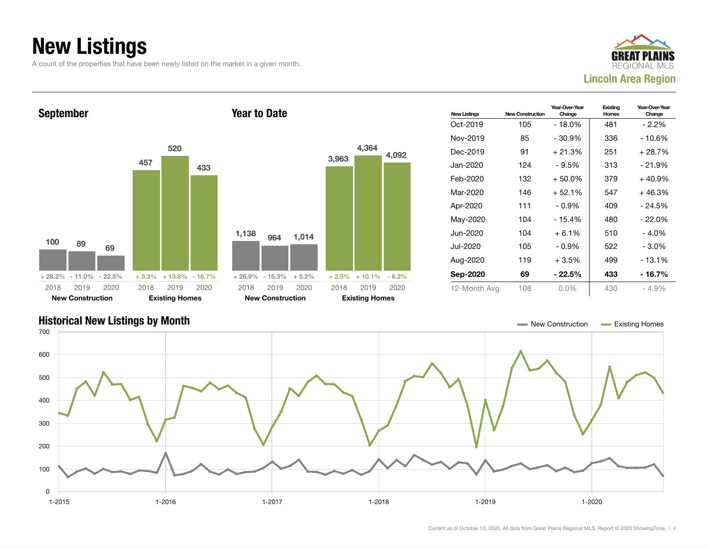## New Listings

A count of the properties that have been newly listed on the market in a given month.





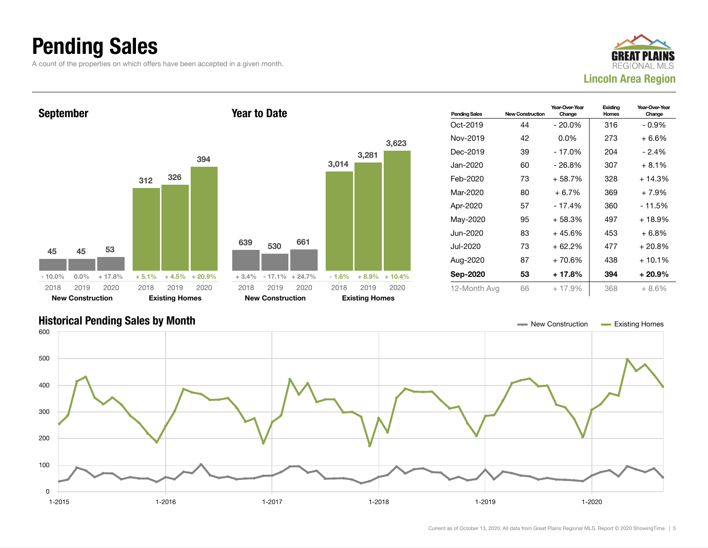### Pending Sales

A count of the properties on which offers have been accepted in a given month.





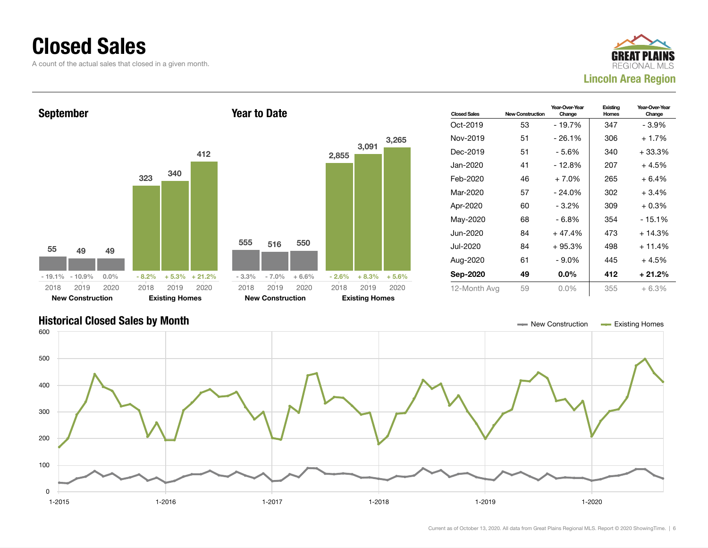### Closed Sales

A count of the actual sales that closed in a given month.





![](_page_5_Figure_4.jpeg)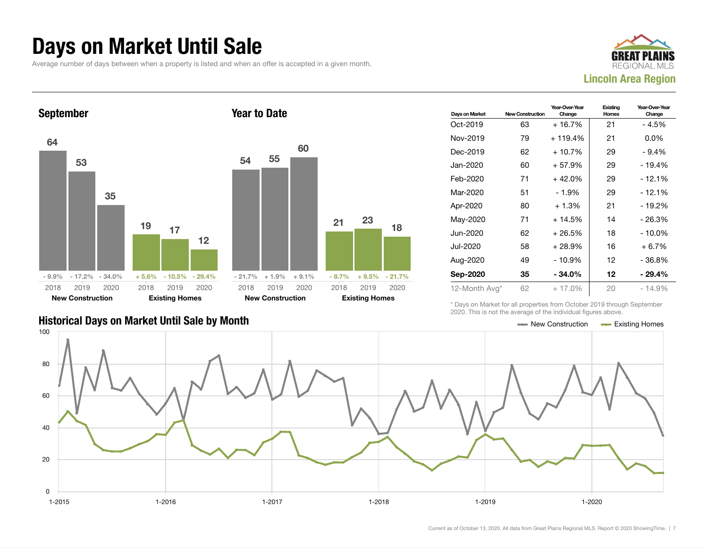### Days on Market Until Sale

Average number of days between when a property is listed and when an offer is accepted in a given month.

![](_page_6_Picture_2.jpeg)

![](_page_6_Figure_3.jpeg)

### Historical Days on Market Until Sale by Month New York New York New York New York New York New York New York New York New York New York New York New York New York New York New York New York New York New York New York New Y

| Days on Market | <b>New Construction</b> | Year-Over-Year<br>Change | Existing<br>Homes | Year-Over-Year<br>Change |
|----------------|-------------------------|--------------------------|-------------------|--------------------------|
| Oct-2019       | 63                      | $+16.7%$                 | 21                | - 4.5%                   |
| Nov-2019       | 79                      | $+119.4%$                | 21                | $0.0\%$                  |
| Dec-2019       | 62                      | $+10.7%$                 | 29                | $-9.4%$                  |
| Jan-2020       | 60                      | $+57.9%$                 | 29                | - 19.4%                  |
| Feb-2020       | 71                      | $+42.0%$                 | 29                | - 12.1%                  |
| Mar-2020       | 51                      | - 1.9%                   | 29                | - 12.1%                  |
| Apr-2020       | 80                      | $+1.3%$                  | 21                | - 19.2%                  |
| May-2020       | 71                      | $+14.5%$                 | 14                | - 26.3%                  |
| Jun-2020       | 62                      | $+26.5%$                 | 18                | - 10.0%                  |
| Jul-2020       | 58                      | $+28.9%$                 | 16                | $+6.7%$                  |
| Aug-2020       | 49                      | - 10.9%                  | 12                | - 36.8%                  |
| Sep-2020       | 35                      | $-34.0\%$                | 12                | - 29.4%                  |
| 12-Month Avg*  | 62                      | $+17.0\%$                | 20                | - 14.9%                  |

\* Days on Market for all properties from October 2019 through September 2020. This is not the average of the individual figures above.

![](_page_6_Figure_7.jpeg)

18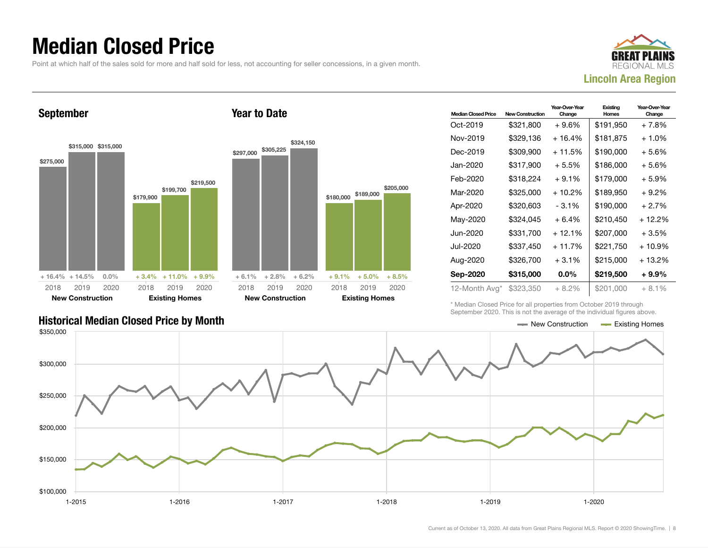### Median Closed Price

Point at which half of the sales sold for more and half sold for less, not accounting for seller concessions, in a given month.

![](_page_7_Picture_2.jpeg)

September \$275,000 \$315,000 \$315,000 + 16.4% + 14.5% 0.0% \$179,900 \$199,700 \$219,500  $+3.4\% + 11.0\%$ 2018 New Construction 2019 2020 2018 Existing Homes 2019 Year to Date \$297,000 \$305,225 2018

| \$219,500     | \$297,000 | \$305,225                       | \$324,150 | \$180,000 | \$189,000                     | \$205,000 |  |
|---------------|-----------|---------------------------------|-----------|-----------|-------------------------------|-----------|--|
| 'n<br>$+9.9%$ | $+6.1%$   | $+2.8%$                         | $+6.2%$   | $+9.1%$   | $+5.0%$                       | $+8.5%$   |  |
| 2020<br>omes  | 2018      | 2019<br><b>New Construction</b> | 2020      | 2018      | 2019<br><b>Existing Homes</b> | 2020      |  |
|               |           |                                 |           |           |                               |           |  |

| <b>Median Closed Price</b> | <b>New Construction</b> | Year-Over-Year<br>Change | Existing<br>Homes | Year-Over-Year<br>Change |
|----------------------------|-------------------------|--------------------------|-------------------|--------------------------|
| Oct-2019                   | \$321,800               | $+9.6%$                  | \$191,950         | + 7.8%                   |
| Nov-2019                   | \$329.136               | + 16.4%                  | \$181.875         | $+1.0\%$                 |
| Dec-2019                   | \$309,900               | + 11.5%                  | \$190,000         | + 5.6%                   |
| Jan-2020                   | \$317,900               | $+5.5%$                  | \$186,000         | + 5.6%                   |
| Feb-2020                   | \$318,224               | $+9.1%$                  | \$179,000         | + 5.9%                   |
| Mar-2020                   | \$325,000               | + 10.2%                  | \$189,950         | + 9.2%                   |
| Apr-2020                   | \$320,603               | $-3.1%$                  | \$190,000         | $+2.7%$                  |
| May-2020                   | \$324,045               | $+6.4%$                  | \$210,450         | + 12.2%                  |
| Jun-2020                   | \$331,700               | $+12.1%$                 | \$207,000         | + 3.5%                   |
| Jul-2020                   | \$337,450               | $+11.7%$                 | \$221,750         | $+10.9%$                 |
| Aug-2020                   | \$326,700               | $+3.1%$                  | \$215,000         | + 13.2%                  |
| Sep-2020                   | \$315,000               | $0.0\%$                  | \$219,500         | + 9.9%                   |
| 12-Month Avg*              | \$323,350               | + 8.2%                   | \$201,000         | + 8.1%                   |

\* Median Closed Price for all properties from October 2019 through September 2020. This is not the average of the individual figures above.

![](_page_7_Figure_7.jpeg)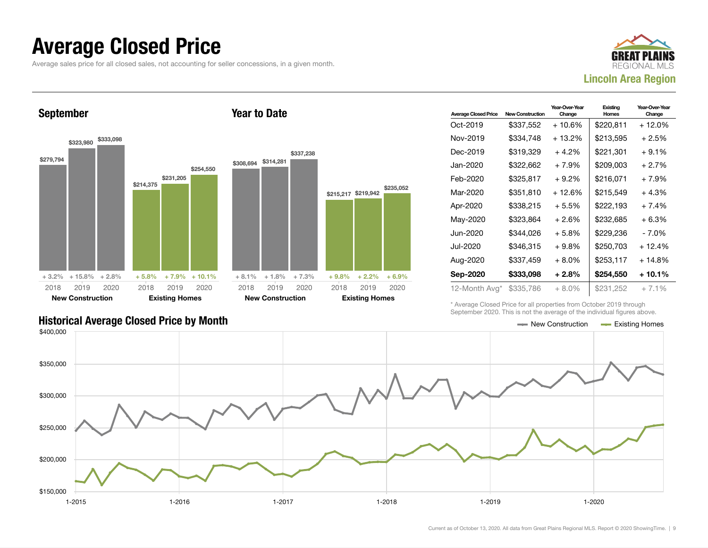### Average Closed Price

Average sales price for all closed sales, not accounting for seller concessions, in a given month.

![](_page_8_Picture_2.jpeg)

September

![](_page_8_Figure_4.jpeg)

Year to Date

| <b>Average Closed Price</b> | <b>New Construction</b> | Year-Over-Year<br>Change | Existing<br>Homes | Year-Over-Year<br>Change |
|-----------------------------|-------------------------|--------------------------|-------------------|--------------------------|
| Oct-2019                    | \$337,552               | + 10.6%                  | \$220,811         | + 12.0%                  |
| Nov-2019                    | \$334.748               | + 13.2%                  | \$213,595         | + 2.5%                   |
| Dec-2019                    | \$319,329               | $+4.2%$                  | \$221,301         | $+9.1%$                  |
| Jan-2020                    | \$322,662               | $+7.9%$                  | \$209,003         | + 2.7%                   |
| Feb-2020                    | \$325,817               | $+9.2\%$                 | \$216,071         | $+7.9%$                  |
| Mar-2020                    | \$351,810               | $+12.6%$                 | \$215,549         | $+4.3%$                  |
| Apr-2020                    | \$338,215               | $+5.5%$                  | \$222,193         | + 7.4%                   |
| May-2020                    | \$323,864               | $+2.6%$                  | \$232,685         | $+6.3%$                  |
| Jun-2020                    | \$344,026               | $+5.8\%$                 | \$229,236         | - 7.0%                   |
| Jul-2020                    | \$346,315               | $+9.8\%$                 | \$250,703         | + 12.4%                  |
| Aug-2020                    | \$337,459               | $+8.0\%$                 | \$253,117         | + 14.8%                  |
| Sep-2020                    | \$333,098               | $+2.8%$                  | \$254,550         | + 10.1%                  |
| 12-Month Avg*               | \$335,786               | $+8.0%$                  | \$231,252         | $+7.1%$                  |

\* Average Closed Price for all properties from October 2019 through September 2020. This is not the average of the individual figures above.

![](_page_8_Figure_7.jpeg)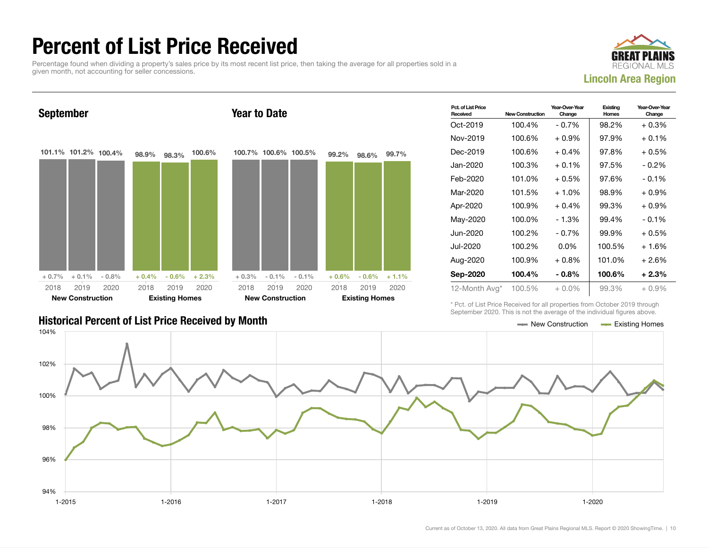### Percent of List Price Received

Percentage found when dividing a property's sales price by its most recent list price, then taking the average for all properties sold in a given month, not accounting for seller concessions.

![](_page_9_Picture_2.jpeg)

![](_page_9_Figure_3.jpeg)

| <b>Historical Percent of List Price Received by Month</b> | $\longrightarrow$ New Construction $\longrightarrow$ Existing Homes |  |
|-----------------------------------------------------------|---------------------------------------------------------------------|--|

| Pct. of List Price<br>Received | <b>New Construction</b> | Year-Over-Year<br>Change | Existing<br>Homes | Year-Over-Year<br>Change |
|--------------------------------|-------------------------|--------------------------|-------------------|--------------------------|
| Oct-2019                       | 100.4%                  | $-0.7%$                  | 98.2%             | $+0.3%$                  |
| Nov-2019                       | 100.6%                  | $+0.9\%$                 | 97.9%             | $+0.1%$                  |
| Dec-2019                       | 100.6%                  | $+0.4%$                  | 97.8%             | $+0.5%$                  |
| Jan-2020                       | 100.3%                  | $+0.1\%$                 | 97.5%             | $-0.2\%$                 |
| Feb-2020                       | 101.0%                  | $+0.5\%$                 | 97.6%             | $-0.1\%$                 |
| Mar-2020                       | 101.5%                  | $+1.0%$                  | 98.9%             | $+0.9\%$                 |
| Apr-2020                       | 100.9%                  | $+0.4%$                  | 99.3%             | $+0.9%$                  |
| May-2020                       | 100.0%                  | - 1.3%                   | 99.4%             | $-0.1\%$                 |
| Jun-2020                       | 100.2%                  | $-0.7%$                  | 99.9%             | $+0.5%$                  |
| Jul-2020                       | 100.2%                  | $0.0\%$                  | 100.5%            | $+1.6%$                  |
| Aug-2020                       | 100.9%                  | $+0.8\%$                 | 101.0%            | $+2.6%$                  |
| Sep-2020                       | 100.4%                  | $-0.8\%$                 | 100.6%            | $+2.3%$                  |
| 12-Month Avg*                  | 100.5%                  | $+0.0%$                  | 99.3%             | $+0.9%$                  |

\* Pct. of List Price Received for all properties from October 2019 through September 2020. This is not the average of the individual figures above.

![](_page_9_Figure_7.jpeg)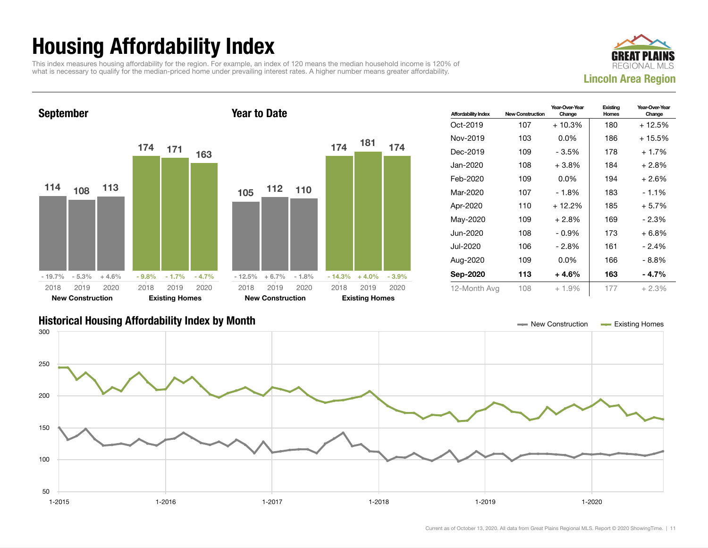## Housing Affordability Index

This index measures housing affordability for the region. For example, an index of 120 means the median household income is 120% of what is necessary to qualify for the median-priced home under prevailing interest rates. A higher number means greater affordability.

![](_page_10_Picture_2.jpeg)

![](_page_10_Figure_3.jpeg)

| <b>Affordability Index</b> | <b>New Construction</b> | Year-Over-Year<br>Change | Existing<br>Homes | Year-Over-Year<br>Change |
|----------------------------|-------------------------|--------------------------|-------------------|--------------------------|
| $Oct-2019$                 | 107                     | $+10.3%$                 | 180               | + 12.5%                  |
| Nov-2019                   | 103                     | $0.0\%$                  | 186               | $+15.5%$                 |
| Dec-2019                   | 109                     | - 3.5%                   | 178               | $+1.7%$                  |
| Jan-2020                   | 108                     | $+3.8%$                  | 184               | $+2.8%$                  |
| Feb-2020                   | 109                     | $0.0\%$                  | 194               | $+2.6%$                  |
| Mar-2020                   | 107                     | - 1.8%                   | 183               | $-1.1\%$                 |
| Apr-2020                   | 110                     | $+12.2%$                 | 185               | $+5.7%$                  |
| May-2020                   | 109                     | $+2.8%$                  | 169               | $-2.3%$                  |
| Jun-2020                   | 108                     | - 0.9%                   | 173               | $+6.8%$                  |
| Jul-2020                   | 106                     | - 2.8%                   | 161               | $-2.4%$                  |
| Aug-2020                   | 109                     | $0.0\%$                  | 166               | - 8.8%                   |
| Sep-2020                   | 113                     | $+4.6%$                  | 163               | - 4.7%                   |
| 12-Month Avg               | 108                     | $+1.9%$                  | 177               | $+2.3%$                  |

### Historical Housing Affordability Index by Month New Construction Existing Homes

![](_page_10_Figure_6.jpeg)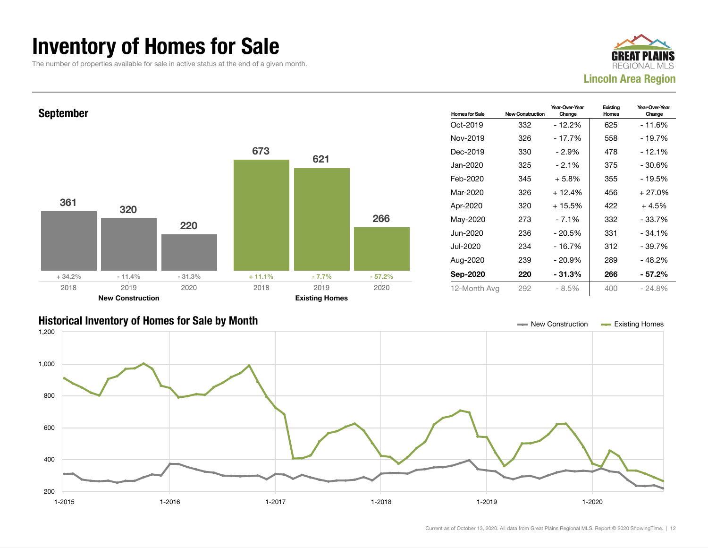### Inventory of Homes for Sale

The number of properties available for sale in active status at the end of a given month.

![](_page_11_Picture_2.jpeg)

![](_page_11_Figure_3.jpeg)

### Historical Inventory of Homes for Sale by Month New Construction Existing Homes

![](_page_11_Figure_5.jpeg)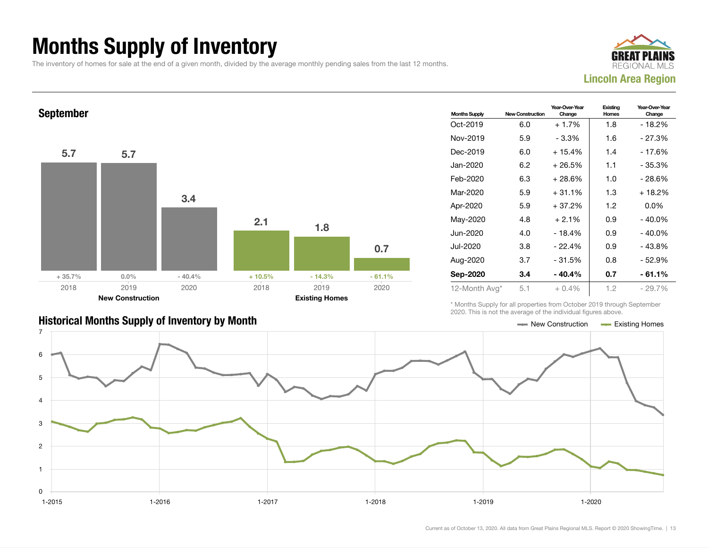## Months Supply of Inventory

The inventory of homes for sale at the end of a given month, divided by the average monthly pending sales from the last 12 months.

![](_page_12_Picture_2.jpeg)

![](_page_12_Figure_3.jpeg)

| <b>Historical Months Supply of Inventory by Month</b> | $\equiv$ New Construction | <b>Existing Homes</b> |
|-------------------------------------------------------|---------------------------|-----------------------|

| <b>Months Supply</b> | <b>New Construction</b> | Year-Over-Year<br>Existing<br>Homes<br>Change |     | Year-Over-Year<br>Change |  |
|----------------------|-------------------------|-----------------------------------------------|-----|--------------------------|--|
| Oct-2019             | 6.0                     | $+1.7%$                                       | 1.8 | $-18.2%$                 |  |
| Nov-2019             | 5.9                     | $-3.3%$                                       | 1.6 | $-27.3%$                 |  |
| Dec-2019             | 6.0                     | $+15.4%$                                      | 1.4 | - 17.6%                  |  |
| Jan-2020             | 6.2                     | $+26.5%$                                      | 1.1 | - 35.3%                  |  |
| Feb-2020             | 6.3                     | + 28.6%                                       | 1.0 | $-28.6%$                 |  |
| Mar-2020             | 5.9                     | $+31.1%$                                      | 1.3 | + 18.2%                  |  |
| Apr-2020             | 5.9                     | $+37.2%$                                      | 1.2 | $0.0\%$                  |  |
| May-2020             | 4.8                     | $+2.1%$                                       | 0.9 | $-40.0\%$                |  |
| Jun-2020.            | 4.0                     | - 18.4%                                       | 0.9 | - 40.0%                  |  |
| Jul-2020.            | 3.8                     | $-22.4%$                                      | 0.9 | $-43.8%$                 |  |
| Aug-2020             | 3.7                     | $-31.5%$                                      | 0.8 | - 52.9%                  |  |
| Sep-2020             | 3.4                     | - 40.4%                                       | 0.7 | - 61.1%                  |  |
| 12-Month Avg*        | 5.1                     | $+0.4\%$                                      | 1.2 | $-29.7\%$                |  |

\* Months Supply for all properties from October 2019 through September 2020. This is not the average of the individual figures above.

![](_page_12_Figure_7.jpeg)